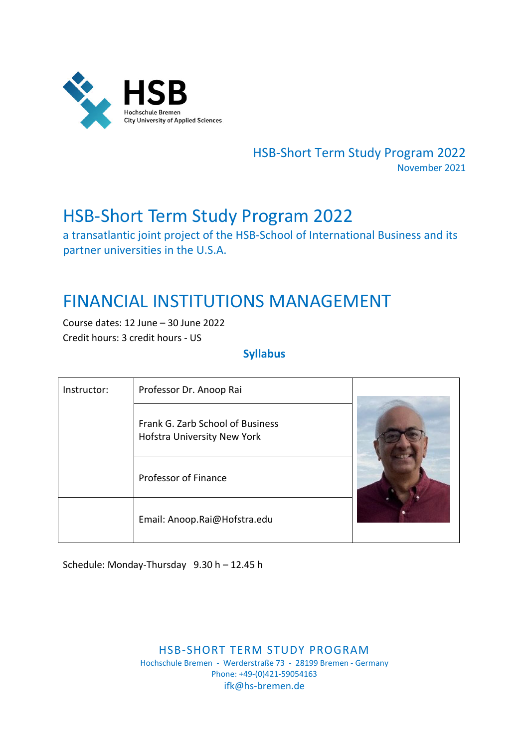

HSB‐Short Term Study Program 2022 November 2021

# HSB‐Short Term Study Program 2022

a transatlantic joint project of the HSB‐School of International Business and its partner universities in the U.S.A.

# FINANCIAL INSTITUTIONS MANAGEMENT

Course dates: 12 June – 30 June 2022 Credit hours: 3 credit hours ‐ US

## **Syllabus**

| Instructor: | Professor Dr. Anoop Rai                                         |  |
|-------------|-----------------------------------------------------------------|--|
|             | Frank G. Zarb School of Business<br>Hofstra University New York |  |
|             | Professor of Finance                                            |  |
|             | Email: Anoop.Rai@Hofstra.edu                                    |  |

Schedule: Monday‐Thursday 9.30 h – 12.45 h

HSB‐SHORT TERM STUDY PROGRAM Hochschule Bremen ‐ Werderstraße 73 ‐ 28199 Bremen ‐ Germany Phone: +49‐(0)421‐59054163 ifk@hs‐bremen.de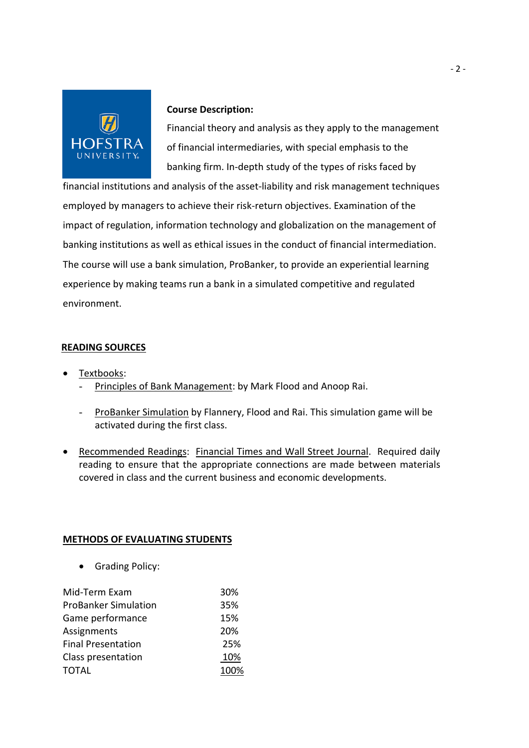

#### **Course Description:**

Financial theory and analysis as they apply to the management of financial intermediaries, with special emphasis to the banking firm. In‐depth study of the types of risks faced by

financial institutions and analysis of the asset‐liability and risk management techniques employed by managers to achieve their risk‐return objectives. Examination of the impact of regulation, information technology and globalization on the management of banking institutions as well as ethical issues in the conduct of financial intermediation. The course will use a bank simulation, ProBanker, to provide an experiential learning experience by making teams run a bank in a simulated competitive and regulated environment.

## **READING SOURCES**

- Textbooks:
	- Principles of Bank Management: by Mark Flood and Anoop Rai.
	- ProBanker Simulation by Flannery, Flood and Rai. This simulation game will be activated during the first class.
- Recommended Readings: Financial Times and Wall Street Journal. Required daily reading to ensure that the appropriate connections are made between materials covered in class and the current business and economic developments.

### **METHODS OF EVALUATING STUDENTS**

• Grading Policy:

| Mid-Term Exam               | 30%  |
|-----------------------------|------|
| <b>ProBanker Simulation</b> | 35%  |
| Game performance            | 15%  |
| Assignments                 | 20%  |
| <b>Final Presentation</b>   | 25%  |
| Class presentation          | 10%  |
| <b>TOTAL</b>                | 100% |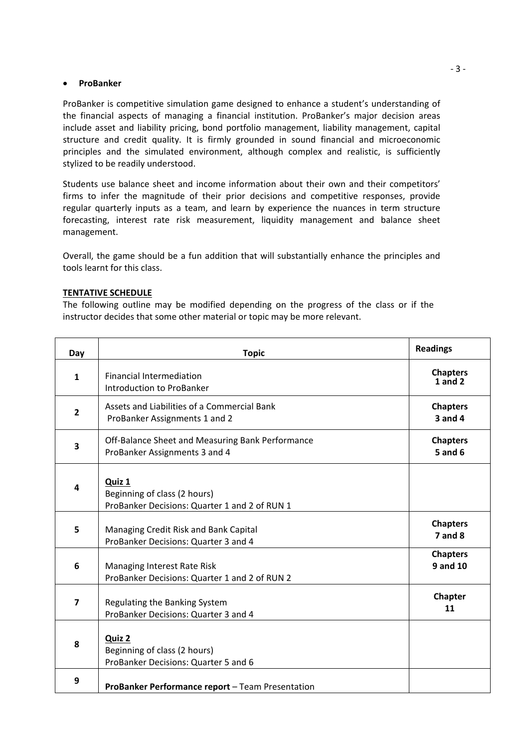#### **•** ProBanker

ProBanker is competitive simulation game designed to enhance a student's understanding of the financial aspects of managing a financial institution. ProBanker's major decision areas include asset and liability pricing, bond portfolio management, liability management, capital structure and credit quality. It is firmly grounded in sound financial and microeconomic principles and the simulated environment, although complex and realistic, is sufficiently stylized to be readily understood.

Students use balance sheet and income information about their own and their competitors' firms to infer the magnitude of their prior decisions and competitive responses, provide regular quarterly inputs as a team, and learn by experience the nuances in term structure forecasting, interest rate risk measurement, liquidity management and balance sheet management.

Overall, the game should be a fun addition that will substantially enhance the principles and tools learnt for this class.

#### **TENTATIVE SCHEDULE**

The following outline may be modified depending on the progress of the class or if the instructor decides that some other material or topic may be more relevant.

| Day                     | <b>Topic</b>                                                                            | <b>Readings</b>                    |
|-------------------------|-----------------------------------------------------------------------------------------|------------------------------------|
| $\mathbf{1}$            | <b>Financial Intermediation</b><br><b>Introduction to ProBanker</b>                     | <b>Chapters</b><br>$1$ and $2$     |
| $\overline{2}$          | Assets and Liabilities of a Commercial Bank<br>ProBanker Assignments 1 and 2            | <b>Chapters</b><br>$3$ and $4$     |
| 3                       | Off-Balance Sheet and Measuring Bank Performance<br>ProBanker Assignments 3 and 4       | <b>Chapters</b><br>$5$ and $6$     |
| 4                       | Quiz 1<br>Beginning of class (2 hours)<br>ProBanker Decisions: Quarter 1 and 2 of RUN 1 |                                    |
| 5                       | Managing Credit Risk and Bank Capital<br>ProBanker Decisions: Quarter 3 and 4           | <b>Chapters</b><br>$7$ and $8$     |
| 6                       | Managing Interest Rate Risk<br>ProBanker Decisions: Quarter 1 and 2 of RUN 2            | <b>Chapters</b><br><b>9 and 10</b> |
| $\overline{\mathbf{z}}$ | Regulating the Banking System<br>ProBanker Decisions: Quarter 3 and 4                   | Chapter<br>11                      |
| 8                       | Quiz 2<br>Beginning of class (2 hours)<br>ProBanker Decisions: Quarter 5 and 6          |                                    |
| 9                       | ProBanker Performance report - Team Presentation                                        |                                    |